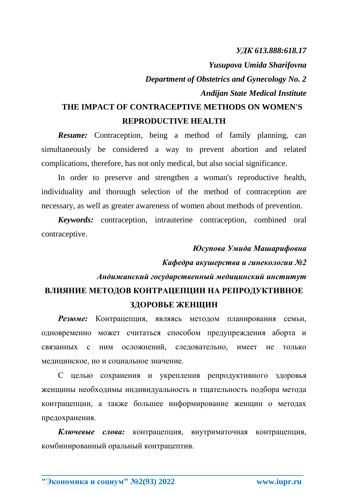*УДК 613.888:618.17*

*Yusupova Umida Sharifovna*

*Department of Obstetrics and Gynecology No. 2 Andijan State Medical Institute*

## **THE IMPACT OF CONTRACEPTIVE METHODS ON WOMEN'S REPRODUCTIVE HEALTH**

*Resume:* Contraception, being a method of family planning, can simultaneously be considered a way to prevent abortion and related complications, therefore, has not only medical, but also social significance.

In order to preserve and strengthen a woman's reproductive health, individuality and thorough selection of the method of contraception are necessary, as well as greater awareness of women about methods of prevention.

*Keywords:* contraception, intrauterine contraception, combined oral contraceptive.

## *Юсупова Умида Машарифовна Кафедра акушерства и гинекологии №2 Андижанский государственный медицинский институт* **ВЛИЯНИЕ МЕТОДОВ КОНТРАЦЕПЦИИ НА РЕПРОДУКТИВНОЕ ЗДОРОВЬЕ ЖЕНЩИН**

*Резюме:* Контрацепция, являясь методом планирования семьи, одновременно может считаться способом предупреждения аборта и связанных с ним осложнений, следовательно, имеет не только медицинское, но и социальное значение.

С целью сохранения и укрепления репродуктивного здоровья женщины необходимы индивидуальность и тщательность подбора метода контрацепции, а также большее информирование женщин о методах предохранения.

*Ключевые слова:* контрацепция, внутриматочная контрацепция, комбинированный оральный контрацептив.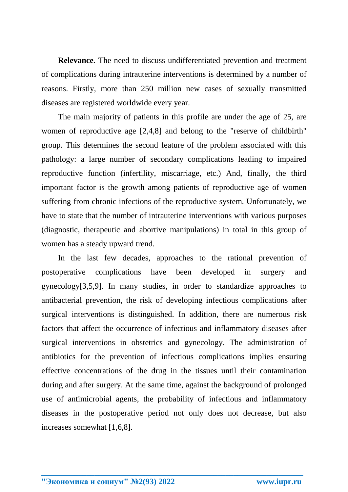**Relevance.** The need to discuss undifferentiated prevention and treatment of complications during intrauterine interventions is determined by a number of reasons. Firstly, more than 250 million new cases of sexually transmitted diseases are registered worldwide every year.

The main majority of patients in this profile are under the age of 25, are women of reproductive age [2,4,8] and belong to the "reserve of childbirth" group. This determines the second feature of the problem associated with this pathology: a large number of secondary complications leading to impaired reproductive function (infertility, miscarriage, etc.) And, finally, the third important factor is the growth among patients of reproductive age of women suffering from chronic infections of the reproductive system. Unfortunately, we have to state that the number of intrauterine interventions with various purposes (diagnostic, therapeutic and abortive manipulations) in total in this group of women has a steady upward trend.

In the last few decades, approaches to the rational prevention of postoperative complications have been developed in surgery and gynecology[3,5,9]. In many studies, in order to standardize approaches to antibacterial prevention, the risk of developing infectious complications after surgical interventions is distinguished. In addition, there are numerous risk factors that affect the occurrence of infectious and inflammatory diseases after surgical interventions in obstetrics and gynecology. The administration of antibiotics for the prevention of infectious complications implies ensuring effective concentrations of the drug in the tissues until their contamination during and after surgery. At the same time, against the background of prolonged use of antimicrobial agents, the probability of infectious and inflammatory diseases in the postoperative period not only does not decrease, but also increases somewhat [1,6,8].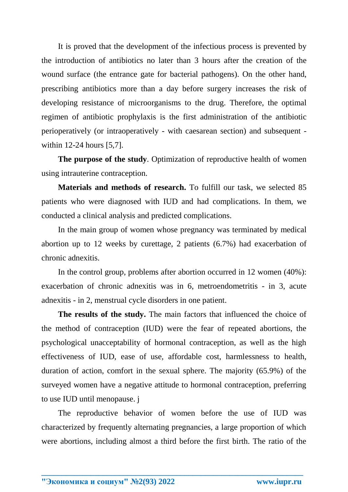It is proved that the development of the infectious process is prevented by the introduction of antibiotics no later than 3 hours after the creation of the wound surface (the entrance gate for bacterial pathogens). On the other hand, prescribing antibiotics more than a day before surgery increases the risk of developing resistance of microorganisms to the drug. Therefore, the optimal regimen of antibiotic prophylaxis is the first administration of the antibiotic perioperatively (or intraoperatively - with caesarean section) and subsequent within 12-24 hours [5,7].

**The purpose of the study**. Optimization of reproductive health of women using intrauterine contraception.

**Materials and methods of research.** To fulfill our task, we selected 85 patients who were diagnosed with IUD and had complications. In them, we conducted a clinical analysis and predicted complications.

In the main group of women whose pregnancy was terminated by medical abortion up to 12 weeks by curettage, 2 patients (6.7%) had exacerbation of chronic adnexitis.

In the control group, problems after abortion occurred in 12 women (40%): exacerbation of chronic adnexitis was in 6, metroendometritis - in 3, acute adnexitis - in 2, menstrual cycle disorders in one patient.

**The results of the study.** The main factors that influenced the choice of the method of contraception (IUD) were the fear of repeated abortions, the psychological unacceptability of hormonal contraception, as well as the high effectiveness of IUD, ease of use, affordable cost, harmlessness to health, duration of action, comfort in the sexual sphere. The majority (65.9%) of the surveyed women have a negative attitude to hormonal contraception, preferring to use IUD until menopause. j

The reproductive behavior of women before the use of IUD was characterized by frequently alternating pregnancies, a large proportion of which were abortions, including almost a third before the first birth. The ratio of the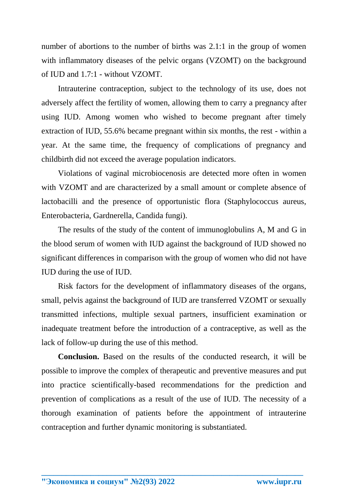number of abortions to the number of births was 2.1:1 in the group of women with inflammatory diseases of the pelvic organs (VZOMT) on the background of IUD and 1.7:1 - without VZOMT.

Intrauterine contraception, subject to the technology of its use, does not adversely affect the fertility of women, allowing them to carry a pregnancy after using IUD. Among women who wished to become pregnant after timely extraction of IUD, 55.6% became pregnant within six months, the rest - within a year. At the same time, the frequency of complications of pregnancy and childbirth did not exceed the average population indicators.

Violations of vaginal microbiocenosis are detected more often in women with VZOMT and are characterized by a small amount or complete absence of lactobacilli and the presence of opportunistic flora (Staphylococcus aureus, Enterobacteria, Gardnerella, Candida fungi).

The results of the study of the content of immunoglobulins A, M and G in the blood serum of women with IUD against the background of IUD showed no significant differences in comparison with the group of women who did not have IUD during the use of IUD.

Risk factors for the development of inflammatory diseases of the organs, small, pelvis against the background of IUD are transferred VZOMT or sexually transmitted infections, multiple sexual partners, insufficient examination or inadequate treatment before the introduction of a contraceptive, as well as the lack of follow-up during the use of this method.

**Conclusion.** Based on the results of the conducted research, it will be possible to improve the complex of therapeutic and preventive measures and put into practice scientifically-based recommendations for the prediction and prevention of complications as a result of the use of IUD. The necessity of a thorough examination of patients before the appointment of intrauterine contraception and further dynamic monitoring is substantiated.